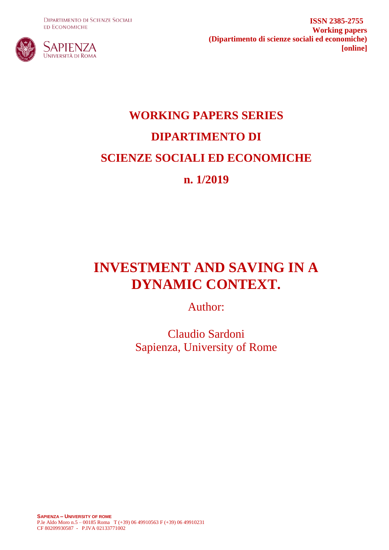**DIPARTIMENTO DI SCIENZE SOCIALI ED ECONOMICHE** 



**ISSN 2385-2755 Working papers (Dipartimento di scienze sociali ed economiche) [online]**

# **WORKING PAPERS SERIES DIPARTIMENTO DI SCIENZE SOCIALI ED ECONOMICHE n. 1/2019**

## **INVESTMENT AND SAVING IN A DYNAMIC CONTEXT.**

Author:

Claudio Sardoni Sapienza, University of Rome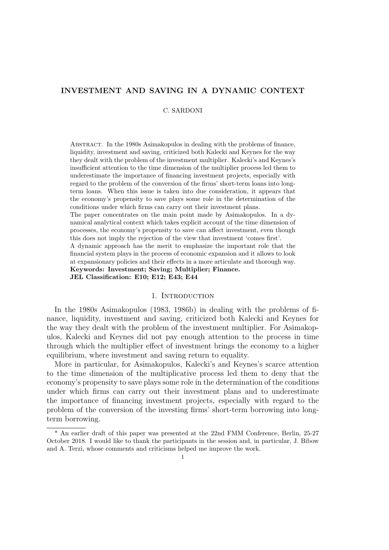## INVESTMENT AND SAVING IN A DYNAMIC CONTEXT

## C. SARDONI

Abstract. In the 1980s Asimakopulos in dealing with the problems of finance, liquidity, investment and saving, criticized both Kalecki and Keynes for the way they dealt with the problem of the investment multiplier. Kalecki's and Keynes's insufficient attention to the time dimension of the multiplier process led them to underestimate the importance of financing investment projects, especially with regard to the problem of the conversion of the firms' short-term loans into longterm loans. When this issue is taken into due consideration, it appears that the economy's propensity to save plays some role in the determination of the conditions under which firms can carry out their investment plans.

The paper concentrates on the main point made by Asimakopulos. In a dynamical analytical context which takes explicit account of the time dimension of processes, the economy's propensity to save can affect investment, even though this does not imply the rejection of the view that investment 'comes first'.

A dynamic approach has the merit to emphasize the important role that the financial system plays in the process of economic expansion and it allows to look at expansionary policies and their effects in a more articulate and thorough way. Keywords: Investment; Saving; Multiplier; Finance. JEL Classification: E10; E12; E43; E44

## 1. INTRODUCTION

In the 1980s Asimakopulos (1983, 1986b) in dealing with the problems of finance, liquidity, investment and saving, criticized both Kalecki and Keynes for the way they dealt with the problem of the investment multiplier. For Asimakopulos, Kalecki and Keynes did not pay enough attention to the process in time through which the multiplier effect of investment brings the economy to a higher equilibrium, where investment and saving return to equality.

More in particular, for Asimakopulos, Kalecki's and Keynes's scarce attention to the time dimension of the multiplicative process led them to deny that the economy's propensity to save plays some role in the determination of the conditions under which firms can carry out their investment plans and to underestimate the importance of financing investment projects, especially with regard to the problem of the conversion of the investing firms' short-term borrowing into longterm borrowing.

<sup>\*</sup> An earlier draft of this paper was presented at the 22nd FMM Conference, Berlin, 25-27 October 2018. I would like to thank the participants in the session and, in particular, J. Bibow and A. Terzi, whose comments and criticisms helped me improve the work.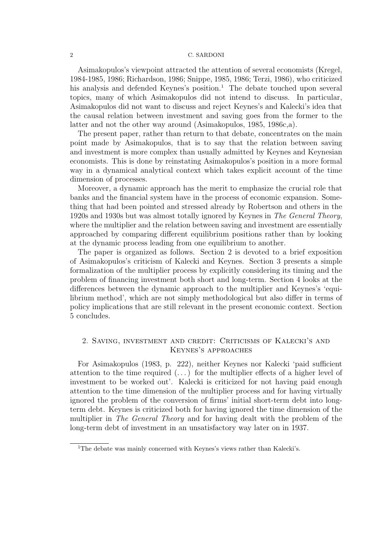Asimakopulos's viewpoint attracted the attention of several economists (Kregel, 1984-1985, 1986; Richardson, 1986; Snippe, 1985, 1986; Terzi, 1986), who criticized his analysis and defended Keynes's position.<sup>1</sup> The debate touched upon several topics, many of which Asimakopulos did not intend to discuss. In particular, Asimakopulos did not want to discuss and reject Keynes's and Kalecki's idea that the causal relation between investment and saving goes from the former to the latter and not the other way around (Asimakopulos, 1985, 1986c,a).

The present paper, rather than return to that debate, concentrates on the main point made by Asimakopulos, that is to say that the relation between saving and investment is more complex than usually admitted by Keynes and Keynesian economists. This is done by reinstating Asimakopulos's position in a more formal way in a dynamical analytical context which takes explicit account of the time dimension of processes.

Moreover, a dynamic approach has the merit to emphasize the crucial role that banks and the financial system have in the process of economic expansion. Something that had been pointed and stressed already by Robertson and others in the 1920s and 1930s but was almost totally ignored by Keynes in The General Theory, where the multiplier and the relation between saving and investment are essentially approached by comparing different equilibrium positions rather than by looking at the dynamic process leading from one equilibrium to another.

The paper is organized as follows. Section 2 is devoted to a brief exposition of Asimakopulos's criticism of Kalecki and Keynes. Section 3 presents a simple formalization of the multiplier process by explicitly considering its timing and the problem of financing investment both short and long-term. Section 4 looks at the differences between the dynamic approach to the multiplier and Keynes's 'equilibrium method', which are not simply methodological but also differ in terms of policy implications that are still relevant in the present economic context. Section 5 concludes.

## 2. Saving, investment and credit: Criticisms of Kalecki's and Keynes's approaches

For Asimakopulos (1983, p. 222), neither Keynes nor Kalecki 'paid sufficient attention to the time required  $(\ldots)$  for the multiplier effects of a higher level of investment to be worked out'. Kalecki is criticized for not having paid enough attention to the time dimension of the multiplier process and for having virtually ignored the problem of the conversion of firms' initial short-term debt into longterm debt. Keynes is criticized both for having ignored the time dimension of the multiplier in *The General Theory* and for having dealt with the problem of the long-term debt of investment in an unsatisfactory way later on in 1937.

<sup>&</sup>lt;sup>1</sup>The debate was mainly concerned with Keynes's views rather than Kalecki's.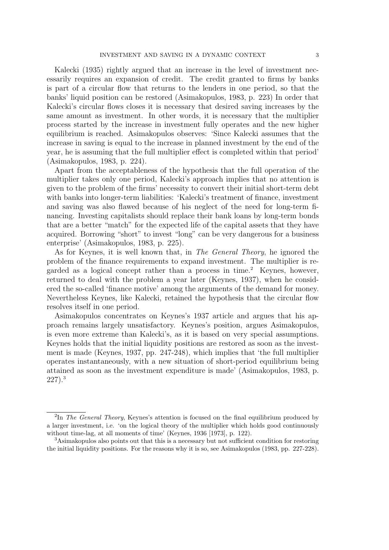Kalecki (1935) rightly argued that an increase in the level of investment necessarily requires an expansion of credit. The credit granted to firms by banks is part of a circular flow that returns to the lenders in one period, so that the banks' liquid position can be restored (Asimakopulos, 1983, p. 223) In order that Kalecki's circular flows closes it is necessary that desired saving increases by the same amount as investment. In other words, it is necessary that the multiplier process started by the increase in investment fully operates and the new higher equilibrium is reached. Asimakopulos observes: 'Since Kalecki assumes that the increase in saving is equal to the increase in planned investment by the end of the year, he is assuming that the full multiplier effect is completed within that period' (Asimakopulos, 1983, p. 224).

Apart from the acceptableness of the hypothesis that the full operation of the multiplier takes only one period, Kalecki's approach implies that no attention is given to the problem of the firms' necessity to convert their initial short-term debt with banks into longer-term liabilities: 'Kalecki's treatment of finance, investment and saving was also flawed because of his neglect of the need for long-term financing. Investing capitalists should replace their bank loans by long-term bonds that are a better "match" for the expected life of the capital assets that they have acquired. Borrowing "short" to invest "long" can be very dangerous for a business enterprise' (Asimakopulos, 1983, p. 225).

As for Keynes, it is well known that, in The General Theory, he ignored the problem of the finance requirements to expand investment. The multiplier is regarded as a logical concept rather than a process in time.<sup>2</sup> Keynes, however, returned to deal with the problem a year later (Keynes, 1937), when he considered the so-called 'finance motive' among the arguments of the demand for money. Nevertheless Keynes, like Kalecki, retained the hypothesis that the circular flow resolves itself in one period.

Asimakopulos concentrates on Keynes's 1937 article and argues that his approach remains largely unsatisfactory. Keynes's position, argues Asimakopulos, is even more extreme than Kalecki's, as it is based on very special assumptions. Keynes holds that the initial liquidity positions are restored as soon as the investment is made (Keynes, 1937, pp. 247-248), which implies that 'the full multiplier operates instantaneously, with a new situation of short-period equilibrium being attained as soon as the investment expenditure is made' (Asimakopulos, 1983, p. 227).<sup>3</sup>

<sup>&</sup>lt;sup>2</sup>In The General Theory, Keynes's attention is focused on the final equilibrium produced by a larger investment, i.e. 'on the logical theory of the multiplier which holds good continuously without time-lag, at all moments of time' (Keynes, 1936 [1973], p. 122).

<sup>3</sup>Asimakopulos also points out that this is a necessary but not sufficient condition for restoring the initial liquidity positions. For the reasons why it is so, see Asimakopulos (1983, pp. 227-228).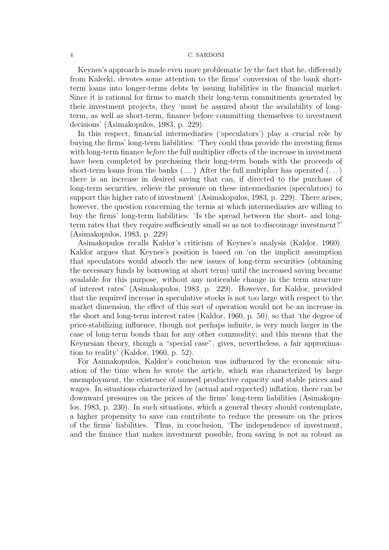Keynes's approach is made even more problematic by the fact that he, differently from Kalecki, devotes some attention to the firms' conversion of the bank shortterm loans into longer-terms debts by issuing liabilities in the financial market. Since it is rational for firms to match their long-term commitments generated by their investment projects, they 'must be assured about the availability of longterm, as well as short-term, finance before committing themselves to investment decisions' (Asimakopulos, 1983, p. 229).

In this respect, financial intermediaries ('speculators') play a crucial role by buying the firms' long-term liabilities: 'They could thus provide the investing firms with long-term finance *before* the full multiplier effects of the increase in investment have been completed by purchasing their long-term bonds with the proceeds of short-term loans from the banks  $(\dots)$  After the full multiplier has operated  $(\dots)$ there is an increase in desired saving that can, if directed to the purchase of long-term securities, relieve the pressure on these intermediaries (speculators) to support this higher rate of investment' (Asimakopulos, 1983, p. 229). There arises, however, the question concerning the terms at which intermediaries are willing to buy the firms' long-term liabilities: 'Is the spread between the short- and longterm rates that they require sufficiently small so as not to discourage investment?' (Asimakopulos, 1983, p. 229)

Asimakopulos recalls Kaldor's criticism of Keynes's analysis (Kaldor, 1960). Kaldor argues that Keynes's position is based on 'on the implicit assumption that speculators would absorb the new issues of long-term securities (obtaining the necessary funds by borrowing at short term) until the increased saving became available for this purpose, without any noticeable change in the term structure of interest rates' (Asimakopulos, 1983, p. 229). However, for Kaldor, provided that the required increase in speculative stocks is not too large with respect to the market dimension, the effect of this sort of operation would not be an increase in the short and long-term interest rates (Kaldor, 1960, p. 50), so that 'the degree of price-stabilizing influence, though not perhaps infinite, is very much larger in the case of long-term bonds than for any other commodity; and this means that the Keynesian theory, though a "special case", gives, nevertheless, a fair approximation to reality' (Kaldor, 1960, p. 52).

For Asimakopulos, Kaldor's conclusion was influenced by the economic situation of the time when he wrote the article, which was characterized by large unemployment, the existence of unused productive capacity and stable prices and wages. In situations characterized by (actual and expected) inflation, there can be downward pressures on the prices of the firms' long-term liabilities (Asimakopulos, 1983, p. 230). In such situations, which a general theory should contemplate, a higher propensity to save can contribute to reduce the pressure on the prices of the firms' liabilities. Thus, in conclusion, 'The independence of investment, and the finance that makes investment possible, from saving is not as robust as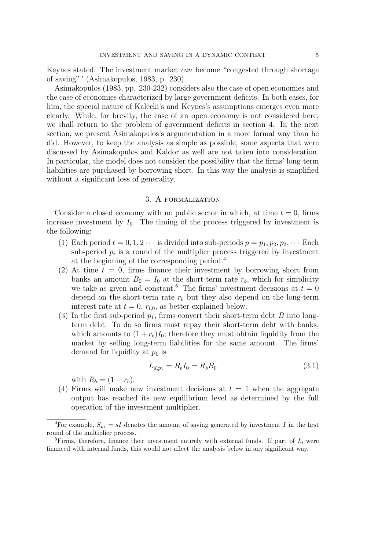Keynes stated. The investment market can become "congested through shortage of saving" ' (Asimakopulos, 1983, p. 230).

Asimakopulos (1983, pp. 230-232) considers also the case of open economies and the case of economies characterized by large government deficits. In both cases, for him, the special nature of Kalecki's and Keynes's assumptions emerges even more clearly. While, for brevity, the case of an open economy is not considered here, we shall return to the problem of government deficits in section 4. In the next section, we present Asimakopulos's argumentation in a more formal way than he did. However, to keep the analysis as simple as possible, some aspects that were discussed by Asimakopulos and Kaldor as well are not taken into consideration. In particular, the model does not consider the possibility that the firms' long-term liabilities are purchased by borrowing short. In this way the analysis is simplified without a significant loss of generality.

## 3. A formalization

Consider a closed economy with no public sector in which, at time  $t = 0$ , firms increase investment by  $I_0$ . The timing of the process triggered by investment is the following:

- (1) Each period  $t = 0, 1, 2 \cdots$  is divided into sub-periods  $p = p_1, p_2, p_3, \cdots$  Each sub-period  $p_i$  is a round of the multiplier process triggered by investment at the beginning of the corresponding period.<sup>4</sup>
- (2) At time  $t = 0$ , firms finance their investment by borrowing short from banks an amount  $B_0 = I_0$  at the short-term rate  $r_b$ , which for simplicity we take as given and constant.<sup>5</sup> The firms' investment decisions at  $t = 0$ depend on the short-term rate  $r_b$  but they also depend on the long-term interest rate at  $t = 0$ ,  $r_{l,0}$ , as better explained below.
- (3) In the first sub-period  $p_1$ , firms convert their short-term debt B into longterm debt. To do so firms must repay their short-term debt with banks, which amounts to  $(1 + r_b)I_0$ ; therefore they must obtain liquidity from the market by selling long-term liabilities for the same amount. The firms' demand for liquidity at  $p_1$  is

$$
L_{d,p_1} = R_b I_0 = R_b B_0 \tag{3.1}
$$

with  $R_b = (1 + r_b)$ .

(4) Firms will make new investment decisions at  $t = 1$  when the aggregate output has reached its new equilibrium level as determined by the full operation of the investment multiplier.

<sup>&</sup>lt;sup>4</sup>For example,  $S_{p_1} = sI$  denotes the amount of saving generated by investment I in the first round of the multiplier process.

<sup>&</sup>lt;sup>5</sup>Firms, therefore, finance their investment entirely with external funds. If part of  $I_0$  were financed with internal funds, this would not affect the analysis below in any significant way.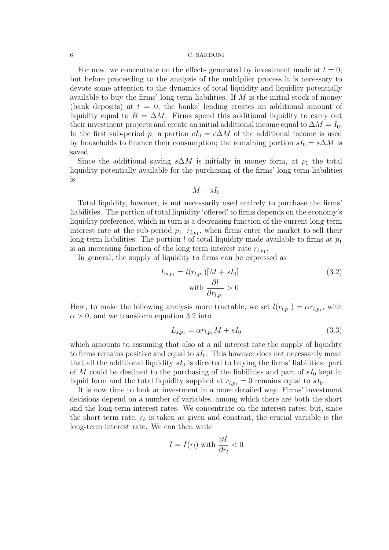For now, we concentrate on the effects generated by investment made at  $t = 0$ ; but before proceeding to the analysis of the multiplier process it is necessary to devote some attention to the dynamics of total liquidity and liquidity potentially available to buy the firms' long-term liabilities. If  $M$  is the initial stock of money (bank deposits) at  $t = 0$ , the banks' lending creates an additional amount of liquidity equal to  $B = \Delta M$ . Firms spend this additional liquidity to carry out their investment projects and create an initial additional income equal to  $\Delta M = I_0$ . In the first sub-period  $p_1$  a portion  $cI_0 = c\Delta M$  of the additional income is used by households to finance their consumption; the remaining portion  $sI_0 = s\Delta M$  is saved.

Since the additional saving  $s\Delta M$  is initially in money form, at  $p_1$  the total liquidity potentially available for the purchasing of the firms' long-term liabilities is

$$
M + sI_0
$$

Total liquidity, however, is not necessarily used entirely to purchase the firms' liabilities. The portion of total liquidity 'offered' to firms depends on the economy's liquidity preference, which in turn is a decreasing function of the current long-term interest rate at the sub-period  $p_1, r_{l,p_1}$ , when firms enter the market to sell their long-term liabilities. The portion l of total liquidity made available to firms at  $p_1$ is an increasing function of the long-term interest rate  $r_{l,p_1}$ .

In general, the supply of liquidity to firms can be expressed as

$$
L_{s,p_1} = l(r_{l,p_1})[M + sI_0]
$$
  
\nwith 
$$
\frac{\partial l}{\partial r_{l,p_1}} > 0
$$
\n(3.2)

Here, to make the following analysis more tractable, we set  $l(r_{l,p_1}) = \alpha r_{l,p_1}$ , with  $\alpha > 0$ , and we transform equation 3.2 into

$$
L_{s,p_1} = \alpha r_{l,p_1} M + sI_0 \tag{3.3}
$$

which amounts to assuming that also at a nil interest rate the supply of liquidity to firms remains positive and equal to  $sI_0$ . This however does not necessarily mean that all the additional liquidity  $sI_0$  is directed to buying the firms' liabilities: part of M could be destined to the purchasing of the liabilities and part of  $sI_0$  kept in liquid form and the total liquidity supplied at  $r_{l,p_1} = 0$  remains equal to  $sI_0$ .

It is now time to look at investment in a more detailed way. Firms' investment decisions depend on a number of variables, among which there are both the short and the long-term interest rates. We concentrate on the interest rates; but, since the short-term rate,  $r_b$  is taken as given and constant, the crucial variable is the long-term interest rate. We can then write

$$
I = I(r_l) \text{ with } \frac{\partial I}{\partial r_l} < 0
$$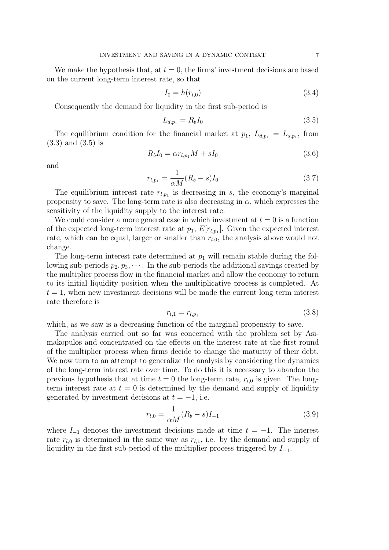We make the hypothesis that, at  $t = 0$ , the firms' investment decisions are based on the current long-term interest rate, so that

$$
I_0 = h(r_{l,0}) \tag{3.4}
$$

Consequently the demand for liquidity in the first sub-period is

$$
L_{d,p_1} = R_b I_0 \tag{3.5}
$$

The equilibrium condition for the financial market at  $p_1, L_{d,p_1} = L_{s,p_1}$ , from (3.3) and (3.5) is

$$
R_b I_0 = \alpha r_{l, p_1} M + s I_0 \tag{3.6}
$$

and

$$
r_{l,p_1} = \frac{1}{\alpha M} (R_b - s) I_0
$$
\n(3.7)

The equilibrium interest rate  $r_{l,p_1}$  is decreasing in s, the economy's marginal propensity to save. The long-term rate is also decreasing in  $\alpha$ , which expresses the sensitivity of the liquidity supply to the interest rate.

We could consider a more general case in which investment at  $t = 0$  is a function of the expected long-term interest rate at  $p_1$ ,  $E[r_{l,p_1}]$ . Given the expected interest rate, which can be equal, larger or smaller than  $r_{l,0}$ , the analysis above would not change.

The long-term interest rate determined at  $p_1$  will remain stable during the following sub-periods  $p_2, p_3, \cdots$ . In the sub-periods the additional savings created by the multiplier process flow in the financial market and allow the economy to return to its initial liquidity position when the multiplicative process is completed. At  $t = 1$ , when new investment decisions will be made the current long-term interest rate therefore is

$$
r_{l,1} = r_{l,p_1} \tag{3.8}
$$

which, as we saw is a decreasing function of the marginal propensity to save.

The analysis carried out so far was concerned with the problem set by Asimakopulos and concentrated on the effects on the interest rate at the first round of the multiplier process when firms decide to change the maturity of their debt. We now turn to an attempt to generalize the analysis by considering the dynamics of the long-term interest rate over time. To do this it is necessary to abandon the previous hypothesis that at time  $t = 0$  the long-term rate,  $r_{l,0}$  is given. The longterm interest rate at  $t = 0$  is determined by the demand and supply of liquidity generated by investment decisions at  $t = -1$ , i.e.

$$
r_{l,0} = \frac{1}{\alpha M} (R_b - s) I_{-1}
$$
\n(3.9)

where  $I_{-1}$  denotes the investment decisions made at time  $t = -1$ . The interest rate  $r_{l,0}$  is determined in the same way as  $r_{l,1}$ , i.e. by the demand and supply of liquidity in the first sub-period of the multiplier process triggered by  $I_{-1}$ .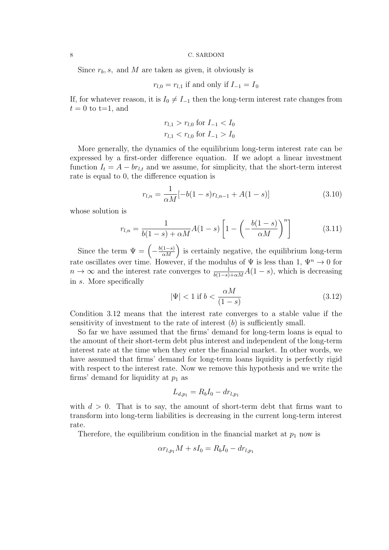Since  $r_b$ , s, and M are taken as given, it obviously is

$$
r_{l,0} = r_{l,1}
$$
 if and only if  $I_{-1} = I_0$ 

If, for whatever reason, it is  $I_0 \neq I_{-1}$  then the long-term interest rate changes from  $t = 0$  to t=1, and

$$
r_{l,1} > r_{l,0} \text{ for } I_{-1} < I_0
$$
  

$$
r_{l,1} < r_{l,0} \text{ for } I_{-1} > I_0
$$

More generally, the dynamics of the equilibrium long-term interest rate can be expressed by a first-order difference equation. If we adopt a linear investment function  $I_t = A - br_{l,t}$  and we assume, for simplicity, that the short-term interest rate is equal to 0, the difference equation is

$$
r_{l,n} = \frac{1}{\alpha M} [-b(1-s)r_{l,n-1} + A(1-s)] \tag{3.10}
$$

whose solution is

$$
r_{l,n} = \frac{1}{b(1-s) + \alpha M} A(1-s) \left[ 1 - \left( -\frac{b(1-s)}{\alpha M} \right)^n \right]
$$
(3.11)

Since the term  $\Psi = \left(-\frac{b(1-s)}{\alpha M}\right)$  is certainly negative, the equilibrium long-term rate oscillates over time. However, if the modulus of  $\Psi$  is less than 1,  $\Psi^n \to 0$  for  $n \to \infty$  and the interest rate converges to  $\frac{1}{b(1-s)+\alpha M}A(1-s)$ , which is decreasing in s. More specifically

$$
|\Psi| < 1 \text{ if } b < \frac{\alpha M}{(1-s)}\tag{3.12}
$$

Condition 3.12 means that the interest rate converges to a stable value if the sensitivity of investment to the rate of interest  $(b)$  is sufficiently small.

So far we have assumed that the firms' demand for long-term loans is equal to the amount of their short-term debt plus interest and independent of the long-term interest rate at the time when they enter the financial market. In other words, we have assumed that firms' demand for long-term loans liquidity is perfectly rigid with respect to the interest rate. Now we remove this hypothesis and we write the firms' demand for liquidity at  $p_1$  as

$$
L_{d,p_1} = R_b I_0 - dr_{l,p_1}
$$

with  $d > 0$ . That is to say, the amount of short-term debt that firms want to transform into long-term liabilities is decreasing in the current long-term interest rate.

Therefore, the equilibrium condition in the financial market at  $p_1$  now is

$$
\alpha r_{l,p_1} M + sI_0 = R_b I_0 - dr_{l,p_1}
$$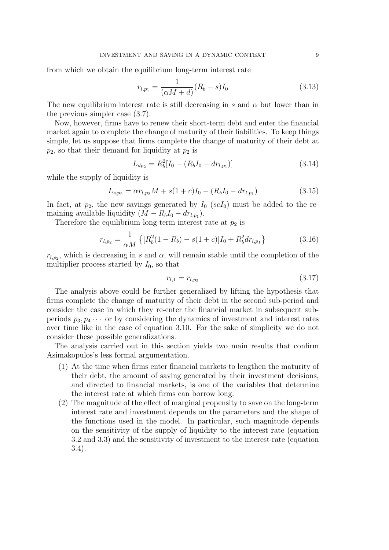from which we obtain the equilibrium long-term interest rate

$$
r_{l,p_1} = \frac{1}{(\alpha M + d)} (R_b - s) I_0
$$
\n(3.13)

The new equilibrium interest rate is still decreasing in s and  $\alpha$  but lower than in the previous simpler case (3.7).

Now, however, firms have to renew their short-term debt and enter the financial market again to complete the change of maturity of their liabilities. To keep things simple, let us suppose that firms complete the change of maturity of their debt at  $p_2$ , so that their demand for liquidity at  $p_2$  is

$$
L_{dp_2} = R_b^2 [I_0 - (R_b I_0 - dr_{l,p_1})]
$$
\n(3.14)

while the supply of liquidity is

$$
L_{s,p_2} = \alpha r_{l,p_2} M + s(1+c)I_0 - (R_b I_0 - dr_{l,p_1})
$$
\n(3.15)

In fact, at  $p_2$ , the new savings generated by  $I_0$  (scI<sub>0</sub>) must be added to the remaining available liquidity  $(M - R_b I_0 - dr_{l,p_1}).$ 

Therefore the equilibrium long-term interest rate at  $p_2$  is

$$
r_{l,p_2} = \frac{1}{\alpha M} \left\{ \left[ R_b^2 (1 - R_b) - s (1 + c) \right] I_0 + R_b^2 d r_{l,p_1} \right\} \tag{3.16}
$$

 $r_{l,p_2}$ , which is decreasing in s and  $\alpha$ , will remain stable until the completion of the multiplier process started by  $I_0$ , so that

$$
r_{l,1} = r_{l,p_2} \tag{3.17}
$$

The analysis above could be further generalized by lifting the hypothesis that firms complete the change of maturity of their debt in the second sub-period and consider the case in which they re-enter the financial market in subsequent subperiods  $p_3, p_4, \cdots$  or by considering the dynamics of investment and interest rates over time like in the case of equation 3.10. For the sake of simplicity we do not consider these possible generalizations.

The analysis carried out in this section yields two main results that confirm Asimakopulos's less formal argumentation.

- (1) At the time when firms enter financial markets to lengthen the maturity of their debt, the amount of saving generated by their investment decisions, and directed to financial markets, is one of the variables that determine the interest rate at which firms can borrow long.
- (2) The magnitude of the effect of marginal propensity to save on the long-term interest rate and investment depends on the parameters and the shape of the functions used in the model. In particular, such magnitude depends on the sensitivity of the supply of liquidity to the interest rate (equation 3.2 and 3.3) and the sensitivity of investment to the interest rate (equation 3.4).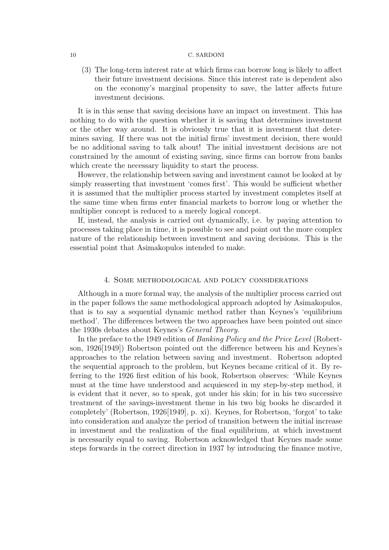(3) The long-term interest rate at which firms can borrow long is likely to affect their future investment decisions. Since this interest rate is dependent also on the economy's marginal propensity to save, the latter affects future investment decisions.

It is in this sense that saving decisions have an impact on investment. This has nothing to do with the question whether it is saving that determines investment or the other way around. It is obviously true that it is investment that determines saving. If there was not the initial firms' investment decision, there would be no additional saving to talk about! The initial investment decisions are not constrained by the amount of existing saving, since firms can borrow from banks which create the necessary liquidity to start the process.

However, the relationship between saving and investment cannot be looked at by simply reasserting that investment 'comes first'. This would be sufficient whether it is assumed that the multiplier process started by investment completes itself at the same time when firms enter financial markets to borrow long or whether the multiplier concept is reduced to a merely logical concept.

If, instead, the analysis is carried out dynamically, i.e. by paying attention to processes taking place in time, it is possible to see and point out the more complex nature of the relationship between investment and saving decisions. This is the essential point that Asimakopulos intended to make.

## 4. Some methodological and policy considerations

Although in a more formal way, the analysis of the multiplier process carried out in the paper follows the same methodological approach adopted by Asimakopulos, that is to say a sequential dynamic method rather than Keynes's 'equilibrium method'. The differences between the two approaches have been pointed out since the 1930s debates about Keynes's General Theory.

In the preface to the 1949 edition of Banking Policy and the Price Level (Robertson, 1926[1949]) Robertson pointed out the difference between his and Keynes's approaches to the relation between saving and investment. Robertson adopted the sequential approach to the problem, but Keynes became critical of it. By referring to the 1926 first edition of his book, Robertson observes: 'While Keynes must at the time have understood and acquiesced in my step-by-step method, it is evident that it never, so to speak, got under his skin; for in his two successive treatment of the savings-investment theme in his two big books he discarded it completely' (Robertson, 1926[1949], p. xi). Keynes, for Robertson, 'forgot' to take into consideration and analyze the period of transition between the initial increase in investment and the realization of the final equilibrium, at which investment is necessarily equal to saving. Robertson acknowledged that Keynes made some steps forwards in the correct direction in 1937 by introducing the finance motive,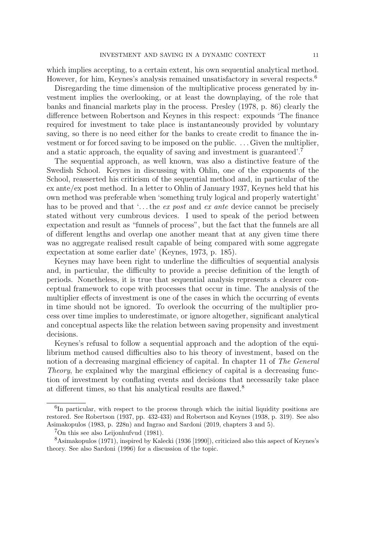which implies accepting, to a certain extent, his own sequential analytical method. However, for him, Keynes's analysis remained unsatisfactory in several respects.<sup>6</sup>

Disregarding the time dimension of the multiplicative process generated by investment implies the overlooking, or at least the downplaying, of the role that banks and financial markets play in the process. Presley (1978, p. 86) clearly the difference between Robertson and Keynes in this respect: expounds 'The finance required for investment to take place is instantaneously provided by voluntary saving, so there is no need either for the banks to create credit to finance the investment or for forced saving to be imposed on the public. . . . Given the multiplier, and a static approach, the equality of saving and investment is guaranteed'.<sup>7</sup>

The sequential approach, as well known, was also a distinctive feature of the Swedish School. Keynes in discussing with Ohlin, one of the exponents of the School, reasserted his criticism of the sequential method and, in particular of the ex ante/ex post method. In a letter to Ohlin of January 1937, Keynes held that his own method was preferable when 'something truly logical and properly watertight' has to be proved and that  $\ldots$  the ex post and ex ante device cannot be precisely stated without very cumbrous devices. I used to speak of the period between expectation and result as "funnels of process", but the fact that the funnels are all of different lengths and overlap one another meant that at any given time there was no aggregate realised result capable of being compared with some aggregate expectation at some earlier date' (Keynes, 1973, p. 185).

Keynes may have been right to underline the difficulties of sequential analysis and, in particular, the difficulty to provide a precise definition of the length of periods. Nonetheless, it is true that sequential analysis represents a clearer conceptual framework to cope with processes that occur in time. The analysis of the multiplier effects of investment is one of the cases in which the occurring of events in time should not be ignored. To overlook the occurring of the multiplier process over time implies to underestimate, or ignore altogether, significant analytical and conceptual aspects like the relation between saving propensity and investment decisions.

Keynes's refusal to follow a sequential approach and the adoption of the equilibrium method caused difficulties also to his theory of investment, based on the notion of a decreasing marginal efficiency of capital. In chapter 11 of The General Theory, he explained why the marginal efficiency of capital is a decreasing function of investment by conflating events and decisions that necessarily take place at different times, so that his analytical results are flawed.<sup>8</sup>

<sup>&</sup>lt;sup>6</sup>In particular, with respect to the process through which the initial liquidity positions are restored. See Robertson (1937, pp. 432-433) and Robertson and Keynes (1938, p. 319). See also Asimakopulos (1983, p. 228n) and Ingrao and Sardoni (2019, chapters 3 and 5).

 ${}^{7}$ On this see also Leijonhufvud (1981).

<sup>8</sup>Asimakopulos (1971), inspired by Kalecki (1936 [1990]), criticized also this aspect of Keynes's theory. See also Sardoni (1996) for a discussion of the topic.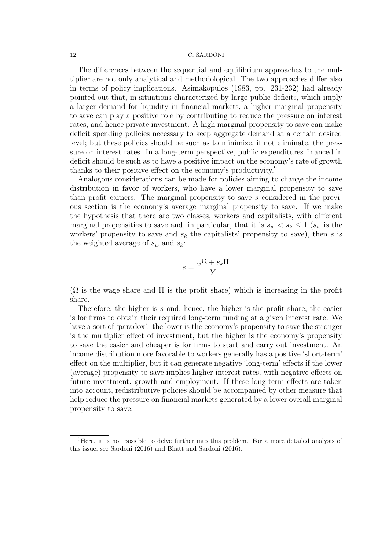The differences between the sequential and equilibrium approaches to the multiplier are not only analytical and methodological. The two approaches differ also in terms of policy implications. Asimakopulos (1983, pp. 231-232) had already pointed out that, in situations characterized by large public deficits, which imply a larger demand for liquidity in financial markets, a higher marginal propensity to save can play a positive role by contributing to reduce the pressure on interest rates, and hence private investment. A high marginal propensity to save can make deficit spending policies necessary to keep aggregate demand at a certain desired level; but these policies should be such as to minimize, if not eliminate, the pressure on interest rates. In a long-term perspective, public expenditures financed in deficit should be such as to have a positive impact on the economy's rate of growth thanks to their positive effect on the economy's productivity.<sup>9</sup>

Analogous considerations can be made for policies aiming to change the income distribution in favor of workers, who have a lower marginal propensity to save than profit earners. The marginal propensity to save s considered in the previous section is the economy's average marginal propensity to save. If we make the hypothesis that there are two classes, workers and capitalists, with different marginal propensities to save and, in particular, that it is  $s_w < s_k \leq 1$  ( $s_w$  is the workers' propensity to save and  $s_k$  the capitalists' propensity to save), then s is the weighted average of  $s_w$  and  $s_k$ :

$$
s = \frac{w\Omega + s_k \Pi}{Y}
$$

 $(\Omega)$  is the wage share and  $\Pi$  is the profit share) which is increasing in the profit share.

Therefore, the higher is s and, hence, the higher is the profit share, the easier is for firms to obtain their required long-term funding at a given interest rate. We have a sort of 'paradox': the lower is the economy's propensity to save the stronger is the multiplier effect of investment, but the higher is the economy's propensity to save the easier and cheaper is for firms to start and carry out investment. An income distribution more favorable to workers generally has a positive 'short-term' effect on the multiplier, but it can generate negative 'long-term' effects if the lower (average) propensity to save implies higher interest rates, with negative effects on future investment, growth and employment. If these long-term effects are taken into account, redistributive policies should be accompanied by other measure that help reduce the pressure on financial markets generated by a lower overall marginal propensity to save.

<sup>&</sup>lt;sup>9</sup>Here, it is not possible to delve further into this problem. For a more detailed analysis of this issue, see Sardoni (2016) and Bhatt and Sardoni (2016).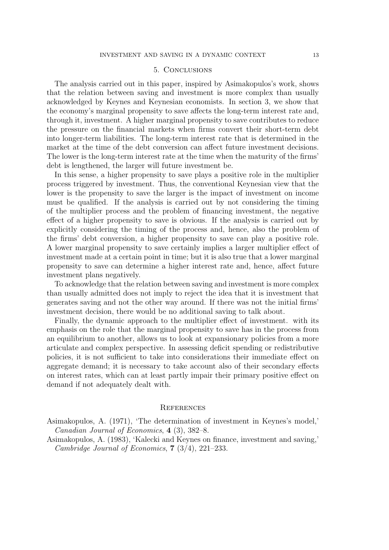## 5. Conclusions

The analysis carried out in this paper, inspired by Asimakopulos's work, shows that the relation between saving and investment is more complex than usually acknowledged by Keynes and Keynesian economists. In section 3, we show that the economy's marginal propensity to save affects the long-term interest rate and, through it, investment. A higher marginal propensity to save contributes to reduce the pressure on the financial markets when firms convert their short-term debt into longer-term liabilities. The long-term interest rate that is determined in the market at the time of the debt conversion can affect future investment decisions. The lower is the long-term interest rate at the time when the maturity of the firms' debt is lengthened, the larger will future investment be.

In this sense, a higher propensity to save plays a positive role in the multiplier process triggered by investment. Thus, the conventional Keynesian view that the lower is the propensity to save the larger is the impact of investment on income must be qualified. If the analysis is carried out by not considering the timing of the multiplier process and the problem of financing investment, the negative effect of a higher propensity to save is obvious. If the analysis is carried out by explicitly considering the timing of the process and, hence, also the problem of the firms' debt conversion, a higher propensity to save can play a positive role. A lower marginal propensity to save certainly implies a larger multiplier effect of investment made at a certain point in time; but it is also true that a lower marginal propensity to save can determine a higher interest rate and, hence, affect future investment plans negatively.

To acknowledge that the relation between saving and investment is more complex than usually admitted does not imply to reject the idea that it is investment that generates saving and not the other way around. If there was not the initial firms' investment decision, there would be no additional saving to talk about.

Finally, the dynamic approach to the multiplier effect of investment. with its emphasis on the role that the marginal propensity to save has in the process from an equilibrium to another, allows us to look at expansionary policies from a more articulate and complex perspective. In assessing deficit spending or redistributive policies, it is not sufficient to take into considerations their immediate effect on aggregate demand; it is necessary to take account also of their secondary effects on interest rates, which can at least partly impair their primary positive effect on demand if not adequately dealt with.

## **REFERENCES**

Asimakopulos, A. (1971), 'The determination of investment in Keynes's model,' Canadian Journal of Economics, 4 (3), 382–8.

Asimakopulos, A. (1983), 'Kalecki and Keynes on finance, investment and saving,' Cambridge Journal of Economics, 7 (3/4), 221–233.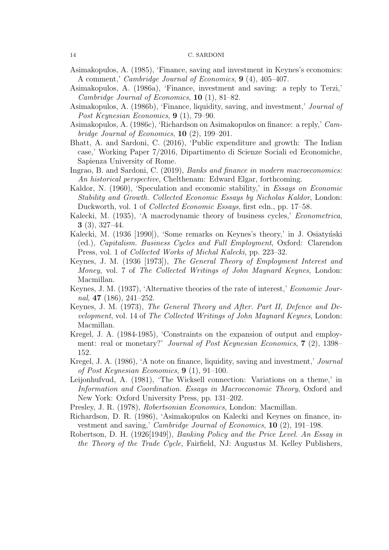- Asimakopulos, A. (1985), 'Finance, saving and investment in Keynes's economics: A comment,' Cambridge Journal of Economics, 9 (4), 405–407.
- Asimakopulos, A. (1986a), 'Finance, investment and saving: a reply to Terzi,' Cambridge Journal of Economics, 10 (1), 81–82.
- Asimakopulos, A. (1986b), 'Finance, liquidity, saving, and investment,' Journal of Post Keynesian Economics, 9 (1), 79–90.
- Asimakopulos, A. (1986c), 'Richardson on Asimakopulos on finance: a reply,' Cambridge Journal of Economics,  $10(2)$ , 199–201.
- Bhatt, A. and Sardoni, C. (2016), 'Public expenditure and growth: The Indian case,' Working Paper 7/2016, Dipartimento di Scienze Sociali ed Economiche, Sapienza University of Rome.
- Ingrao, B. and Sardoni, C. (2019), Banks and finance in modern macroeconomics: An historical perspective, Chelthenam: Edward Elgar, forthcoming.
- Kaldor, N. (1960), 'Speculation and economic stability,' in Essays on Economic Stability and Growth. Collected Economic Essays by Nicholas Kaldor, London: Duckworth, vol. 1 of *Collected Economic Essays*, first edn., pp. 17–58.
- Kalecki, M. (1935), 'A macrodynamic theory of business cycles,' *Econometrica*,  $3(3), 327-44.$
- Kalecki, M. (1936 [1990]), 'Some remarks on Keynes's theory,' in J. Osiatynski (ed.), Capitalism. Business Cycles and Full Employment, Oxford: Clarendon Press, vol. 1 of *Collected Works of Michal Kalecki*, pp. 223–32.
- Keynes, J. M. (1936 [1973]), The General Theory of Employment Interest and Money, vol. 7 of The Collected Writings of John Maynard Keynes, London: Macmillan.
- Keynes, J. M. (1937), 'Alternative theories of the rate of interest,' Economic Journal,  $47$  (186), 241–252.
- Keynes, J. M. (1973), The General Theory and After. Part II, Defence and Development, vol. 14 of The Collected Writings of John Maynard Keynes, London: Macmillan.
- Kregel, J. A. (1984-1985), 'Constraints on the expansion of output and employment: real or monetary?' Journal of Post Keynesian Economics, 7 (2), 1398– 152.
- Kregel, J. A. (1986), 'A note on finance, liquidity, saving and investment,' Journal of Post Keynesian Economics, 9 (1), 91–100.
- Leijonhufvud, A. (1981), 'The Wicksell connection: Variations on a theme,' in Information and Coordination. Essays in Macroeconomic Theory, Oxford and New York: Oxford University Press, pp. 131–202.
- Presley, J. R. (1978), Robertsonian Economics, London: Macmillan.
- Richardson, D. R. (1986), 'Asimakopulos on Kalecki and Keynes on finance, investment and saving,' Cambridge Journal of Economics, 10 (2), 191-198.
- Robertson, D. H. (1926[1949]), Banking Policy and the Price Level. An Essay in the Theory of the Trade Cycle, Fairfield, NJ: Augustus M. Kelley Publishers,